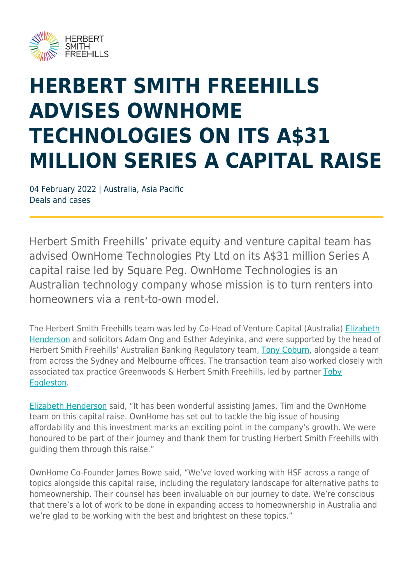

## **HERBERT SMITH FREEHILLS ADVISES OWNHOME TECHNOLOGIES ON ITS A\$31 MILLION SERIES A CAPITAL RAISE**

04 February 2022 | Australia, Asia Pacific Deals and cases

Herbert Smith Freehills' private equity and venture capital team has advised OwnHome Technologies Pty Ltd on its A\$31 million Series A capital raise led by Square Peg. OwnHome Technologies is an Australian technology company whose mission is to turn renters into homeowners via a rent-to-own model.

The Herbert Smith Freehills team was led by Co-Head of Venture Capital (Australia) [Elizabeth](https://www.herbertsmithfreehills.com/our-people/elizabeth-henderson) [Henderson](https://www.herbertsmithfreehills.com/our-people/elizabeth-henderson) and solicitors Adam Ong and Esther Adeyinka, and were supported by the head of Herbert Smith Freehills' Australian Banking Regulatory team, [Tony Coburn](https://www.herbertsmithfreehills.com/our-people/tony-coburn), alongside a team from across the Sydney and Melbourne offices. The transaction team also worked closely with associated tax practice Greenwoods & Herbert Smith Freehills, led by partner [Toby](https://www.herbertsmithfreehills.com/our-people/toby-eggleston) [Eggleston.](https://www.herbertsmithfreehills.com/our-people/toby-eggleston)

[Elizabeth Henderson](https://www.herbertsmithfreehills.com/our-people/elizabeth-henderson) said, "It has been wonderful assisting James, Tim and the OwnHome team on this capital raise. OwnHome has set out to tackle the big issue of housing affordability and this investment marks an exciting point in the company's growth. We were honoured to be part of their journey and thank them for trusting Herbert Smith Freehills with guiding them through this raise."

OwnHome Co-Founder James Bowe said, "We've loved working with HSF across a range of topics alongside this capital raise, including the regulatory landscape for alternative paths to homeownership. Their counsel has been invaluable on our journey to date. We're conscious that there's a lot of work to be done in expanding access to homeownership in Australia and we're glad to be working with the best and brightest on these topics."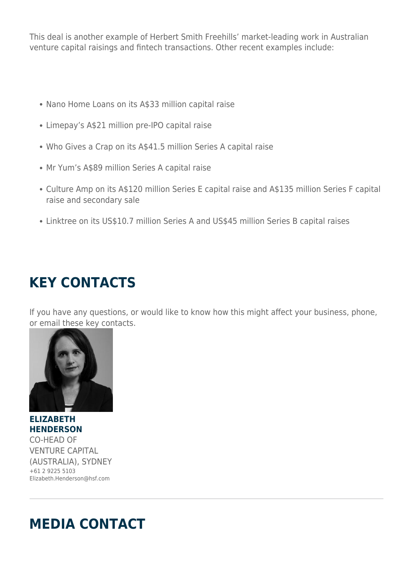This deal is another example of Herbert Smith Freehills' market-leading work in Australian venture capital raisings and fintech transactions. Other recent examples include:

- Nano Home Loans on its A\$33 million capital raise
- Limepay's A\$21 million pre-IPO capital raise
- Who Gives a Crap on its A\$41.5 million Series A capital raise
- Mr Yum's A\$89 million Series A capital raise
- Culture Amp on its A\$120 million Series E capital raise and A\$135 million Series F capital raise and secondary sale
- Linktree on its US\$10.7 million Series A and US\$45 million Series B capital raises

## **KEY CONTACTS**

If you have any questions, or would like to know how this might affect your business, phone, or email these key contacts.



**ELIZABETH HENDERSON** CO-HEAD OF VENTURE CAPITAL (AUSTRALIA), SYDNEY +61 2 9225 5103 Elizabeth.Henderson@hsf.com

## **MEDIA CONTACT**